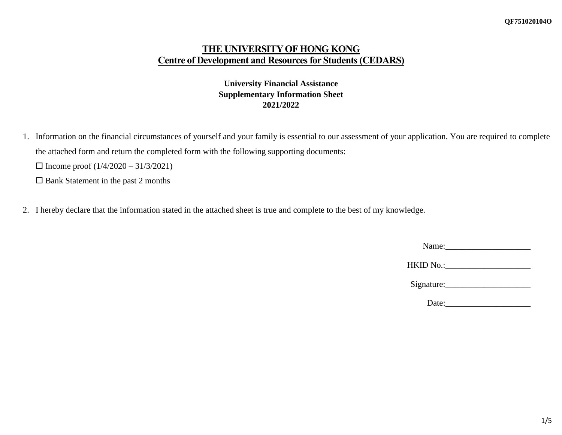# **THE UNIVERSITY OF HONG KONG Centre of Development and Resources for Students (CEDARS)**

## **University Financial Assistance Supplementary Information Sheet 2021/2022**

- 1. Information on the financial circumstances of yourself and your family is essential to our assessment of your application. You are required to complete the attached form and return the completed form with the following supporting documents:
	- $\Box$  Income proof  $(1/4/2020 31/3/2021)$
	- $\square$  Bank Statement in the past 2 months
- 2. I hereby declare that the information stated in the attached sheet is true and complete to the best of my knowledge.

| Name: |  |  |  |
|-------|--|--|--|
|       |  |  |  |

| HKID No.: |  |
|-----------|--|
|-----------|--|

| Signature: |
|------------|
|------------|

Date: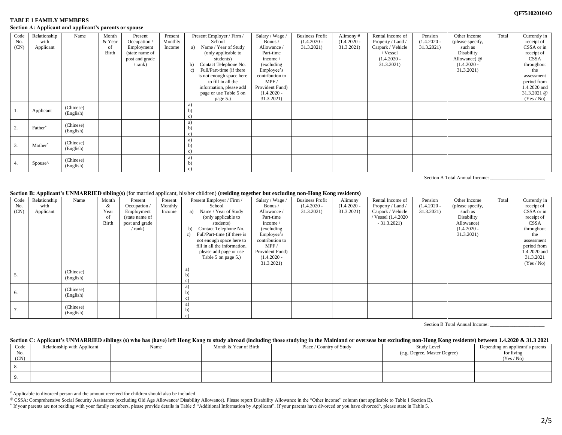## **QF751020104O**

## **TABLE 1 FAMILY MEMBERS Section A: Applicant and applicant's parents or spouse**

| Code<br>No.<br>(CN) | Relationship<br>with<br>Applicant | Name                   | Month<br>& Year<br>-of<br>Birth | Present<br>Occupation /<br>Employment<br>(state name of<br>post and grade<br>$/$ rank) | Present<br>Monthly<br>Income | Present Employer / Firm /<br>School<br>Name / Year of Study<br>a)<br>(only applicable to<br>students)<br>Contact Telephone No.<br>b)<br>Full/Part-time (if there<br>c)<br>is not enough space here<br>to fill in all the<br>information, please add<br>page or use Table 5 on<br>page 5.) | Salary / Wage /<br>Bonus /<br>Allowance<br>Part-time<br>income /<br>(excluding)<br>Employee's<br>contribution to<br>MPF/<br>Provident Fund)<br>$(1.4.2020 -$<br>31.3.2021) | <b>Business Profit</b><br>$(1.4.2020 -$<br>31.3.2021 | Alimony#<br>$(1.4.2020 -$<br>31.3.2021) | Rental Income of<br>Property / Land /<br>Carpark / Vehicle<br>/ Vessel<br>$(1.4.2020 -$<br>31.3.2021) | Pension<br>$(1.4.2020 -$<br>31.3.2021) | Other Income<br>(please specify,<br>such as<br>Disability<br>Allowance) $@$<br>$(1.4.2020 -$<br>31.3.2021) | Total | Currently in<br>receipt of<br>CSSA or in<br>receipt of<br><b>CSSA</b><br>throughout<br>the<br>assessment<br>period from<br>1.4.2020 and<br>31.3.2021 @<br>(Yes / No) |
|---------------------|-----------------------------------|------------------------|---------------------------------|----------------------------------------------------------------------------------------|------------------------------|-------------------------------------------------------------------------------------------------------------------------------------------------------------------------------------------------------------------------------------------------------------------------------------------|----------------------------------------------------------------------------------------------------------------------------------------------------------------------------|------------------------------------------------------|-----------------------------------------|-------------------------------------------------------------------------------------------------------|----------------------------------------|------------------------------------------------------------------------------------------------------------|-------|----------------------------------------------------------------------------------------------------------------------------------------------------------------------|
| ı.                  | Applicant                         | (Chinese)<br>(English) |                                 |                                                                                        |                              |                                                                                                                                                                                                                                                                                           |                                                                                                                                                                            |                                                      |                                         |                                                                                                       |                                        |                                                                                                            |       |                                                                                                                                                                      |
|                     | Father*                           | (Chinese)<br>(English) |                                 |                                                                                        |                              |                                                                                                                                                                                                                                                                                           |                                                                                                                                                                            |                                                      |                                         |                                                                                                       |                                        |                                                                                                            |       |                                                                                                                                                                      |
| 3.                  | Mother <sup>*</sup>               | (Chinese)<br>(English) |                                 |                                                                                        |                              |                                                                                                                                                                                                                                                                                           |                                                                                                                                                                            |                                                      |                                         |                                                                                                       |                                        |                                                                                                            |       |                                                                                                                                                                      |
| 4.                  | Spouse^                           | (Chinese)<br>(English) |                                 |                                                                                        |                              |                                                                                                                                                                                                                                                                                           |                                                                                                                                                                            |                                                      |                                         |                                                                                                       |                                        |                                                                                                            |       |                                                                                                                                                                      |

Section A Total Annual Income:

**Section B: Applicant's UNMARRIED sibling(s)** (for married applicant, his/her children) **(residing together but excluding non-Hong Kong residents)**

| Code | Relationship | Name      | Month        | Present        | Present | Present Employer / Firm /         | Salary / Wage / | <b>Business Profit</b> | Alimony       | Rental Income of  | Pension       | Other Income     | Total | Currently in |
|------|--------------|-----------|--------------|----------------|---------|-----------------------------------|-----------------|------------------------|---------------|-------------------|---------------|------------------|-------|--------------|
| No.  | with         |           | &            | Occupation /   | Monthly | School                            | Bonus /         | $(1.4.2020 -$          | $(1.4.2020 -$ | Property / Land / | $(1.4.2020 -$ | (please specify, |       | receipt of   |
| (CN) | Applicant    |           | Year         | Employment     | Income  | Name / Year of Study<br>a)        | Allowance /     | 31.3.2021)             | 31.3.2021)    | Carpark / Vehicle | 31.3.2021)    | such as          |       | CSSA or in   |
|      |              |           | -of          | (state name of |         | (only applicable to               | Part-time       |                        |               | Vessel (1.4.2020) |               | Disability       |       | receipt of   |
|      |              |           | <b>Birth</b> | post and grade |         | students)                         | income /        |                        |               | $-31.3.2021$      |               | Allowance)       |       | CSSA         |
|      |              |           |              | / rank)        |         | Contact Telephone No.<br>b)       | (excluding      |                        |               |                   |               | $(1.4.2020 -$    |       | throughout   |
|      |              |           |              |                |         | Full/Part-time (if there is<br>c) | Employee's      |                        |               |                   |               | 31.3.2021)       |       | the          |
|      |              |           |              |                |         | not enough space here to          | contribution to |                        |               |                   |               |                  |       | assessment   |
|      |              |           |              |                |         | fill in all the information,      | MPF/            |                        |               |                   |               |                  |       | period from  |
|      |              |           |              |                |         | please add page or use            | Provident Fund) |                        |               |                   |               |                  |       | 1.4.2020 and |
|      |              |           |              |                |         | Table 5 on page 5.)               | $(1.4.2020 -$   |                        |               |                   |               |                  |       | 31.3.2021    |
|      |              |           |              |                |         |                                   | 31.3.2021)      |                        |               |                   |               |                  |       | (Yes / No)   |
|      |              | (Chinese) |              |                |         | a)                                |                 |                        |               |                   |               |                  |       |              |
| 5.   |              | (English) |              |                |         |                                   |                 |                        |               |                   |               |                  |       |              |
|      |              |           |              |                |         |                                   |                 |                        |               |                   |               |                  |       |              |
|      |              | (Chinese) |              |                |         | a)                                |                 |                        |               |                   |               |                  |       |              |
| - 6. |              | (English) |              |                |         | $b$                               |                 |                        |               |                   |               |                  |       |              |
|      |              |           |              |                |         | c)                                |                 |                        |               |                   |               |                  |       |              |
|      |              | (Chinese) |              |                |         | a)                                |                 |                        |               |                   |               |                  |       |              |
| 7.   |              | (English) |              |                |         | b)                                |                 |                        |               |                   |               |                  |       |              |
|      |              |           |              |                |         |                                   |                 |                        |               |                   |               |                  |       |              |

Section B Total Annual Income:

## Section C: Applicant's UNMARRIED siblings (s) who has (have) left Hong Kong to study abroad (including those studying in the Mainland or overseas but excluding non-Hong Kong residents) between 1.4.2020 & 31.3 2021

| Code<br>No.<br>(CN) | Relationship with Applicant | Name | Month & Year of Birth | Place / Country of Study | Study Level<br>(e.g. Degree, Master Degree) | Depending on applicant's parents<br>for living<br>(Yes / No) |
|---------------------|-----------------------------|------|-----------------------|--------------------------|---------------------------------------------|--------------------------------------------------------------|
|                     |                             |      |                       |                          |                                             |                                                              |
|                     |                             |      |                       |                          |                                             |                                                              |

# Applicable to divorced person and the amount received for children should also be included

@ CSSA: Comprehensive Social Security Assistance (excluding Old Age Allowance/ Disability Allowance). Please report Disability Allowance in the "Other income" column (not applicable to Table 1 Section E).

\* If your parents are not residing with your family members, please provide details in Table 5 "Additional Information by Applicant". If your parents have divorced or you have divorced^, please state in Table 5.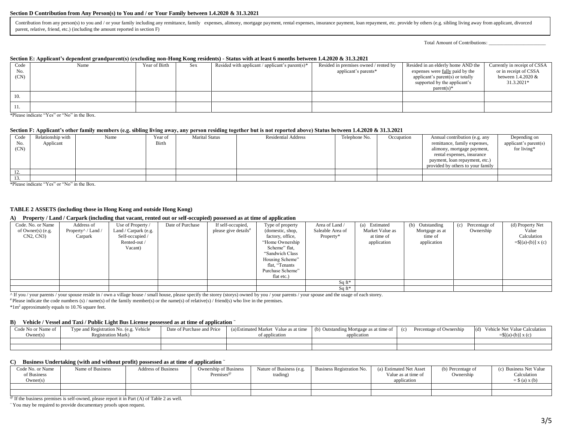#### **Section D Contribution from Any Person(s) to You and / or Your Family between 1.4.2020 & 31.3.2021**

Contribution from any person(s) to you and / or your family including any remittance, family expenses, alimony, mortgage payment, rental expenses, insurance payment, loan repayment, etc. provide by others (e.g. sibling liv parent, relative, friend, etc.) (including the amount reported in section F)

Total Amount of Contributions: \_\_\_\_\_\_\_\_\_\_\_\_\_\_\_\_\_\_\_\_\_\_\_

#### **Section E: Applicant's dependent grandparent(s) (excluding non-Hong Kong residents) - Status with at least 6 months between 1.4.2020 & 31.3.2021**

| Code | Name | Year of Birth | Sex | Resided with applicant / applicant's parent(s)* | Resided in premises owned / rented by | Resided in an elderly home AND the     | Currently in receipt of CSSA |
|------|------|---------------|-----|-------------------------------------------------|---------------------------------------|----------------------------------------|------------------------------|
| No.  |      |               |     |                                                 | applicant's parents*                  | expenses were <u>fully</u> paid by the | or in receipt of CSSA        |
| (CN) |      |               |     |                                                 |                                       | applicant's parent(s) or totally       | between 1.4.2020 &           |
|      |      |               |     |                                                 |                                       | supported by the applicant's           | 31.3.2021*                   |
|      |      |               |     |                                                 |                                       | $parent(s)*$                           |                              |
| 10.  |      |               |     |                                                 |                                       |                                        |                              |
| 11.  |      |               |     |                                                 |                                       |                                        |                              |

\*Please indicate "Yes" or "No" in the Box.

#### **Section F: Applicant's other family members (e.g. sibling living away, any person residing together but is not reported above) Status between 1.4.2020 & 31.3.2021**

| Code<br>No.<br>(CN) | Relationship with<br>Applicant | Name | Year of<br>Birth | <b>Marital Status</b> | <b>Residential Address</b> | Telephone No. | Occupation | Annual contribution (e.g. any<br>remittance, family expenses,<br>alimony, mortgage payment,<br>rental expenses, insurance<br>payment, loan repayment, etc.)<br>provided by others to your family | Depending on<br>applicant's parent(s)<br>for living* |
|---------------------|--------------------------------|------|------------------|-----------------------|----------------------------|---------------|------------|--------------------------------------------------------------------------------------------------------------------------------------------------------------------------------------------------|------------------------------------------------------|
| 12.                 |                                |      |                  |                       |                            |               |            |                                                                                                                                                                                                  |                                                      |
| 13.                 |                                |      |                  |                       |                            |               |            |                                                                                                                                                                                                  |                                                      |

\*Please indicate "Yes" or "No" in the Box.

## **TABLE 2 ASSETS (including those in Hong Kong and outside Hong Kong)**

#### **A) Property / Land / Carpark (including that vacant, rented out or self-occupied) possessed as at time of application**

| Code. No. or Name | Address of                                      | Use of Property /    | Date of Purchase | If self-occupied,                | Type of property | Area of Land /   | (a) Estimated   | Outstanding<br>(b) | (c) Percentage of | (d) Property Net          |
|-------------------|-------------------------------------------------|----------------------|------------------|----------------------------------|------------------|------------------|-----------------|--------------------|-------------------|---------------------------|
| of Owner(s) (e.g. | Property <sup><math>\land</math></sup> / Land / | Land / Carpark (e.g. |                  | please give details <sup>#</sup> | (domestic, shop, | Saleable Area of | Market Value as | Mortgage as at     | Ownership         | Value                     |
| CN2, CN3          | Carpark                                         | Self-occupied /      |                  |                                  | factory, office, | Property*        | at time of      | time of            |                   | Calculation               |
|                   |                                                 | Rented-out /         |                  |                                  | "Home Ownership" |                  | application     | application        |                   | $=\{[(a)-(b)] \times (c)$ |
|                   |                                                 | Vacant)              |                  |                                  | Scheme" flat,    |                  |                 |                    |                   |                           |
|                   |                                                 |                      |                  |                                  | "Sandwich Class" |                  |                 |                    |                   |                           |
|                   |                                                 |                      |                  |                                  | Housing Scheme"  |                  |                 |                    |                   |                           |
|                   |                                                 |                      |                  |                                  | flat, "Tenants   |                  |                 |                    |                   |                           |
|                   |                                                 |                      |                  |                                  | Purchase Scheme" |                  |                 |                    |                   |                           |
|                   |                                                 |                      |                  |                                  | flat etc.)       |                  |                 |                    |                   |                           |
|                   |                                                 |                      |                  |                                  |                  | $Sq$ ft*         |                 |                    |                   |                           |
|                   |                                                 |                      |                  |                                  |                  | $Sq$ ft*         |                 |                    |                   |                           |

 $\overline{\wedge}$  If you / your parents / your spouse reside in / own a village house / small house, please specify the storey (storys) owned by you / your parents / your spouse and the usage of each storey.

 $*$  Please indicate the code numbers (s) / name(s) of the family member(s) or the name(s) of relative(s) / friend(s) who live in the premises.

\*1m<sup>2</sup> approximately equals to 10.76 square feet.

#### **B) Vehicle / Vessel and Taxi / Public Light Bus License possessed as at time of application <sup>~</sup>**

| Code No or Name of<br>Owner(s) | Type and Registration No. (e.g. Vehicle<br><b>Registration Mark)</b> | Date of Purchase and Price | (a) Estimated Market Value as at time (b) Outstanding Mortgage as at time of<br>of application | application | Percentage of Ownership | Vehicle Net Value Calculation<br>(d)<br>$=\frac{5}{a}$ = (a)-(b)] x (c) |
|--------------------------------|----------------------------------------------------------------------|----------------------------|------------------------------------------------------------------------------------------------|-------------|-------------------------|-------------------------------------------------------------------------|
|                                |                                                                      |                            |                                                                                                |             |                         |                                                                         |

#### **C) Business Undertaking (with and without profit) possessed as at time of application <sup>~</sup>**

| Code No. or Name<br>of Business<br>Owner(s) | Name of Business | <b>Address of Business</b> | <b>Ownership of Business</b><br>Premises <sup>®</sup> | Nature of Business (e.g.<br>trading) | Business Registration No. | (a) Estimated Net Asset<br>Value as at time of<br>application | (b) Percentage of<br>Ownership | (c) Business Net Value<br>Calculation<br>$=$ \$ (a) x (b) |
|---------------------------------------------|------------------|----------------------------|-------------------------------------------------------|--------------------------------------|---------------------------|---------------------------------------------------------------|--------------------------------|-----------------------------------------------------------|
|                                             |                  |                            |                                                       |                                      |                           |                                                               |                                |                                                           |
|                                             |                  |                            |                                                       |                                      |                           |                                                               |                                |                                                           |

 $\circ$  If the business premises is self-owned, please report it in Part (A) of Table 2 as well.

<sup>~</sup> You may be required to provide documentary proofs upon request.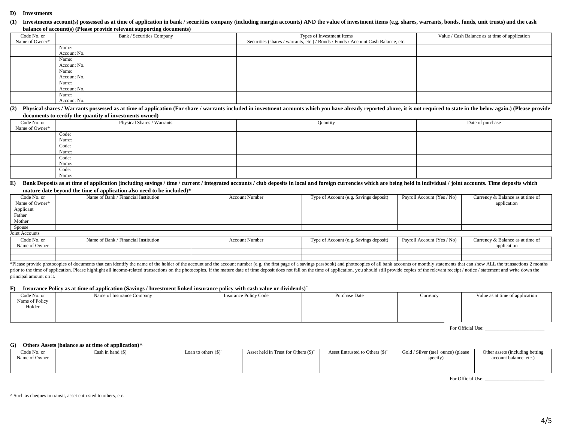#### **D) Investments**

(1) Investments account(s) possessed as at time of application in bank / securities company (including margin accounts) AND the value of investment items (e.g. shares, warrants, bonds, funds, unit trusts) and the cash **balance of account(s) (Please provide relevant supporting documents)**

| Code No. or    | Bank / Securities Company | Types of Investment Items                                                         | Value / Cash Balance as at time of application |
|----------------|---------------------------|-----------------------------------------------------------------------------------|------------------------------------------------|
| Name of Owner* |                           | Securities (shares / warrants, etc.) / Bonds / Funds / Account Cash Balance, etc. |                                                |
|                | Name:                     |                                                                                   |                                                |
|                | Account No.               |                                                                                   |                                                |
|                | Name:                     |                                                                                   |                                                |
|                | Account No.               |                                                                                   |                                                |
|                | Name:                     |                                                                                   |                                                |
|                | Account No.               |                                                                                   |                                                |
|                | Name:                     |                                                                                   |                                                |
|                | Account No.               |                                                                                   |                                                |
|                | Name:                     |                                                                                   |                                                |
|                | Account No.               |                                                                                   |                                                |

(2) Physical shares / Warrants possessed as at time of application (For share / warrants included in investment accounts which you have already reported above, it is not required to state in the below again.) (Please provi **documents to certify the quantity of investments owned)**

| Code No. or    | Physical Shares / Warrants | Quantity | Date of purchase |
|----------------|----------------------------|----------|------------------|
| Name of Owner* |                            |          |                  |
|                | Code:                      |          |                  |
|                | Name:                      |          |                  |
|                | Code:                      |          |                  |
|                | Name:                      |          |                  |
|                | Code:                      |          |                  |
|                | Name:                      |          |                  |
|                | Code:                      |          |                  |
|                | Name:                      |          |                  |

### E) Bank Deposits as at time of application (including savings / time / current / integrated accounts / club deposits in local and foreign currencies which are being held in individual / joint accounts. Time deposits which **mature date beyond the time of application also need to be included)\***

| Code No. or    | Name of Bank / Financial Institution | <b>Account Number</b> | Type of Account (e.g. Savings deposit) | Payroll Account (Yes / No) | Currency & Balance as at time of |
|----------------|--------------------------------------|-----------------------|----------------------------------------|----------------------------|----------------------------------|
| Name of Owner* |                                      |                       |                                        |                            | application                      |
| Applicant      |                                      |                       |                                        |                            |                                  |
| Father         |                                      |                       |                                        |                            |                                  |
| Mother         |                                      |                       |                                        |                            |                                  |
| Spouse         |                                      |                       |                                        |                            |                                  |
| Joint Accounts |                                      |                       |                                        |                            |                                  |
| Code No. or    | Name of Bank / Financial Institution | <b>Account Number</b> | Type of Account (e.g. Savings deposit) | Payroll Account (Yes / No) | Currency & Balance as at time of |
| Name of Owner  |                                      |                       |                                        |                            | application                      |
|                |                                      |                       |                                        |                            |                                  |
|                |                                      |                       |                                        |                            |                                  |

\*Please provide photocopies of documents that can identify the name of the holder of the account and the account number (e.g. the first page of a savings passbook) and photocopies of all bank accounts or monthly statements prior to the time of application. Please highlight all income-related transactions on the photocopies. If the mature date of time deposit does not fall on the time of application, you should still provide copies of the rel principal amount on it.

#### **F) Insurance Policy as at time of application (Savings / Investment linked insurance policy with cash value or dividends)<sup>~</sup>**

| Code No. or<br>Name of Policy | Name of Insurance Company | <b>Insurance Policy Code</b> | Purchase Date | Currency | Value as at time of application |
|-------------------------------|---------------------------|------------------------------|---------------|----------|---------------------------------|
| Holder                        |                           |                              |               |          |                                 |
|                               |                           |                              |               |          |                                 |
|                               |                           |                              |               |          |                                 |

For Official Use:

## **G) Others Assets (balance as at time of application)^**

| Code No. or   | `ash in hand (\$) | <b>Loan</b> to others $(\$)^{\sim}$ | Asset held in Trust for Others $(\$)^{\sim}$ | Asset Entrusted to Others (\$)~ | Gold / Silver (tael ounce) (please | Other assets (including betting |
|---------------|-------------------|-------------------------------------|----------------------------------------------|---------------------------------|------------------------------------|---------------------------------|
| Vame of Owner |                   |                                     |                                              |                                 | $\sim$ $\sim$<br>specity)          | account balance, etc.           |
|               |                   |                                     |                                              |                                 |                                    |                                 |
|               |                   |                                     |                                              |                                 |                                    |                                 |

For Official Use: \_\_\_\_\_\_\_\_\_\_\_\_\_\_\_\_\_\_\_\_\_\_\_\_

^ Such as cheques in transit, asset entrusted to others, etc.